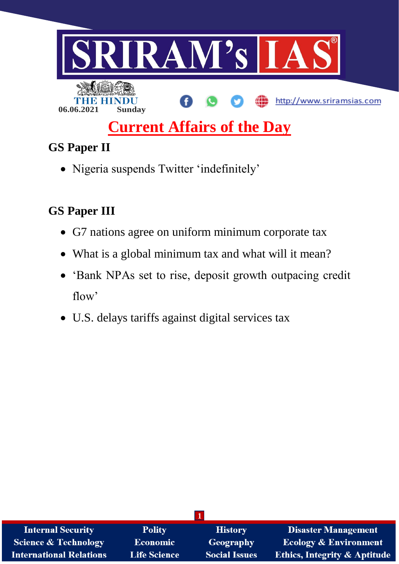

# **Current Affairs of the Day**

# **GS Paper II**

Nigeria suspends Twitter 'indefinitely'

# **GS Paper III**

- G7 nations agree on uniform minimum corporate tax
- What is a global minimum tax and what will it mean?
- 'Bank NPAs set to rise, deposit growth outpacing credit flow'
- U.S. delays tariffs against digital services tax

| <b>Internal Security</b>        | <b>Polity</b>       | <b>History</b>       | <b>Disaster Management</b>              |
|---------------------------------|---------------------|----------------------|-----------------------------------------|
| <b>Science &amp; Technology</b> | <b>Economic</b>     | <b>Geography</b>     | <b>Ecology &amp; Environment</b>        |
| <b>International Relations</b>  | <b>Life Science</b> | <b>Social Issues</b> | <b>Ethics, Integrity &amp; Aptitude</b> |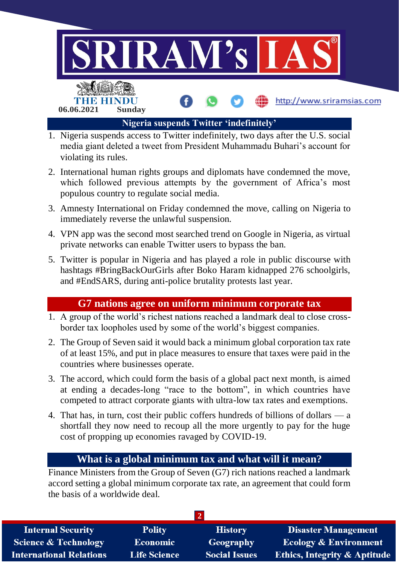

- 1. Nigeria suspends access to Twitter indefinitely, two days after the U.S. social media giant deleted a tweet from President Muhammadu Buhari's account for violating its rules.
- 2. International human rights groups and diplomats have condemned the move, which followed previous attempts by the government of Africa's most populous country to regulate social media.
- 3. Amnesty International on Friday condemned the move, calling on Nigeria to immediately reverse the unlawful suspension.
- 4. VPN app was the second most searched trend on Google in Nigeria, as virtual private networks can enable Twitter users to bypass the ban.
- 5. Twitter is popular in Nigeria and has played a role in public discourse with hashtags #BringBackOurGirls after Boko Haram kidnapped 276 schoolgirls, and #EndSARS, during anti-police brutality protests last year.

### **G7 nations agree on uniform minimum corporate tax**

- 1. A group of the world's richest nations reached a landmark deal to close crossborder tax loopholes used by some of the world's biggest companies.
- 2. The Group of Seven said it would back a minimum global corporation tax rate of at least 15%, and put in place measures to ensure that taxes were paid in the countries where businesses operate.
- 3. The accord, which could form the basis of a global pact next month, is aimed at ending a decades-long "race to the bottom", in which countries have competed to attract corporate giants with ultra-low tax rates and exemptions.
- 4. That has, in turn, cost their public coffers hundreds of billions of dollars a shortfall they now need to recoup all the more urgently to pay for the huge cost of propping up economies ravaged by COVID-19.

# **What is a global minimum tax and what will it mean?**

Finance Ministers from the Group of Seven (G7) rich nations reached a landmark accord setting a global minimum corporate tax rate, an agreement that could form the basis of a worldwide deal.

| <b>Internal Security</b>       | <b>Polity</b>       | <b>History</b>       | <b>Disaster Management</b>              |
|--------------------------------|---------------------|----------------------|-----------------------------------------|
| Science & Technology           | <b>Economic</b>     | Geography            | <b>Ecology &amp; Environment</b>        |
| <b>International Relations</b> | <b>Life Science</b> | <b>Social Issues</b> | <b>Ethics, Integrity &amp; Aptitude</b> |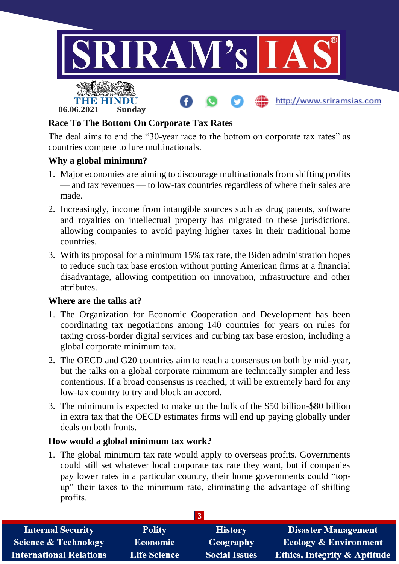

### **Race To The Bottom On Corporate Tax Rates**

The deal aims to end the "30-year race to the bottom on corporate tax rates" as countries compete to lure multinationals.

#### **Why a global minimum?**

- 1. Major economies are aiming to discourage multinationals from shifting profits — and tax revenues — to low-tax countries regardless of where their sales are made.
- 2. Increasingly, income from intangible sources such as drug patents, software and royalties on intellectual property has migrated to these jurisdictions, allowing companies to avoid paying higher taxes in their traditional home countries.
- 3. With its proposal for a minimum 15% tax rate, the Biden administration hopes to reduce such tax base erosion without putting American firms at a financial disadvantage, allowing competition on innovation, infrastructure and other attributes.

#### **Where are the talks at?**

- 1. The Organization for Economic Cooperation and Development has been coordinating tax negotiations among 140 countries for years on rules for taxing cross-border digital services and curbing tax base erosion, including a global corporate minimum tax.
- 2. The OECD and G20 countries aim to reach a consensus on both by mid-year, but the talks on a global corporate minimum are technically simpler and less contentious. If a broad consensus is reached, it will be extremely hard for any low-tax country to try and block an accord.
- 3. The minimum is expected to make up the bulk of the \$50 billion-\$80 billion in extra tax that the OECD estimates firms will end up paying globally under deals on both fronts.

#### **How would a global minimum tax work?**

1. The global minimum tax rate would apply to overseas profits. Governments could still set whatever local corporate tax rate they want, but if companies pay lower rates in a particular country, their home governments could "topup" their taxes to the minimum rate, eliminating the advantage of shifting profits.

| <b>Internal Security</b>        | <b>Polity</b>       | <b>History</b>       | Disaster Management                     |
|---------------------------------|---------------------|----------------------|-----------------------------------------|
| <b>Science &amp; Technology</b> | <b>Economic</b>     | Geography            | <b>Ecology &amp; Environment</b>        |
| <b>International Relations</b>  | <b>Life Science</b> | <b>Social Issues</b> | <b>Ethics, Integrity &amp; Aptitude</b> |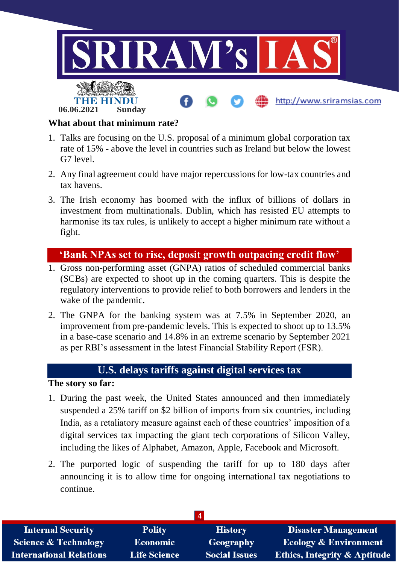

#### **What about that minimum rate?**

- 1. Talks are focusing on the U.S. proposal of a minimum global corporation tax rate of 15% - above the level in countries such as Ireland but below the lowest G7 level.
- 2. Any final agreement could have major repercussions for low-tax countries and tax havens.
- 3. The Irish economy has boomed with the influx of billions of dollars in investment from multinationals. Dublin, which has resisted EU attempts to harmonise its tax rules, is unlikely to accept a higher minimum rate without a fight.

# **'Bank NPAs set to rise, deposit growth outpacing credit flow'**

- 1. Gross non-performing asset (GNPA) ratios of scheduled commercial banks (SCBs) are expected to shoot up in the coming quarters. This is despite the regulatory interventions to provide relief to both borrowers and lenders in the wake of the pandemic.
- 2. The GNPA for the banking system was at 7.5% in September 2020, an improvement from pre-pandemic levels. This is expected to shoot up to 13.5% in a base-case scenario and 14.8% in an extreme scenario by September 2021 as per RBI's assessment in the latest Financial Stability Report (FSR).

# **U.S. delays tariffs against digital services tax**

#### **The story so far:**

- 1. During the past week, the United States announced and then immediately suspended a 25% tariff on \$2 billion of imports from six countries, including India, as a retaliatory measure against each of these countries' imposition of a digital services tax impacting the giant tech corporations of Silicon Valley, including the likes of Alphabet, Amazon, Apple, Facebook and Microsoft.
- 2. The purported logic of suspending the tariff for up to 180 days after announcing it is to allow time for ongoing international tax negotiations to continue.

| <b>Internal Security</b>        | <b>Polity</b>       | <b>History</b>       | <b>Disaster Management</b>              |
|---------------------------------|---------------------|----------------------|-----------------------------------------|
| <b>Science &amp; Technology</b> | <b>Economic</b>     | Geography            | <b>Ecology &amp; Environment</b>        |
| <b>International Relations</b>  | <b>Life Science</b> | <b>Social Issues</b> | <b>Ethics, Integrity &amp; Aptitude</b> |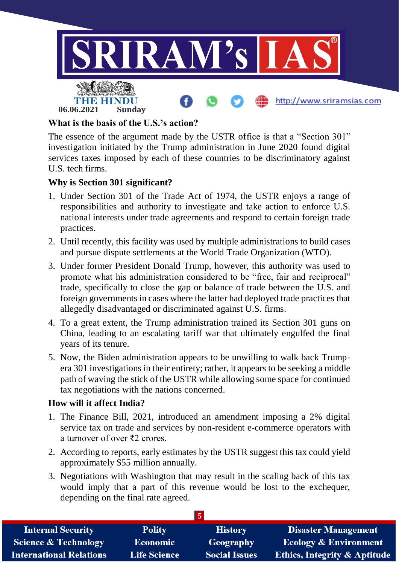

#### **What is the basis of the U.S.'s action?**

The essence of the argument made by the USTR office is that a "Section 301" investigation initiated by the Trump administration in June 2020 found digital services taxes imposed by each of these countries to be discriminatory against U.S. tech firms.

#### **Why is Section 301 significant?**

- 1. Under Section 301 of the Trade Act of 1974, the USTR enjoys a range of responsibilities and authority to investigate and take action to enforce U.S. national interests under trade agreements and respond to certain foreign trade practices.
- 2. Until recently, this facility was used by multiple administrations to build cases and pursue dispute settlements at the World Trade Organization (WTO).
- 3. Under former President Donald Trump, however, this authority was used to promote what his administration considered to be "free, fair and reciprocal" trade, specifically to close the gap or balance of trade between the U.S. and foreign governments in cases where the latter had deployed trade practices that allegedly disadvantaged or discriminated against U.S. firms.
- 4. To a great extent, the Trump administration trained its Section 301 guns on China, leading to an escalating tariff war that ultimately engulfed the final years of its tenure.
- 5. Now, the Biden administration appears to be unwilling to walk back Trumpera 301 investigations in their entirety; rather, it appears to be seeking a middle path of waving the stick of the USTR while allowing some space for continued tax negotiations with the nations concerned.

#### **How will it affect India?**

- 1. The Finance Bill, 2021, introduced an amendment imposing a 2% digital service tax on trade and services by non-resident e-commerce operators with a turnover of over ₹2 crores.
- 2. According to reports, early estimates by the USTR suggest this tax could yield approximately \$55 million annually.
- 3. Negotiations with Washington that may result in the scaling back of this tax would imply that a part of this revenue would be lost to the exchequer, depending on the final rate agreed.

| <b>Internal Security</b>        | <b>Polity</b>       | <b>History</b>       | <b>Disaster Management</b>              |
|---------------------------------|---------------------|----------------------|-----------------------------------------|
| <b>Science &amp; Technology</b> | <b>Economic</b>     | Geography            | <b>Ecology &amp; Environment</b>        |
| <b>International Relations</b>  | <b>Life Science</b> | <b>Social Issues</b> | <b>Ethics, Integrity &amp; Aptitude</b> |